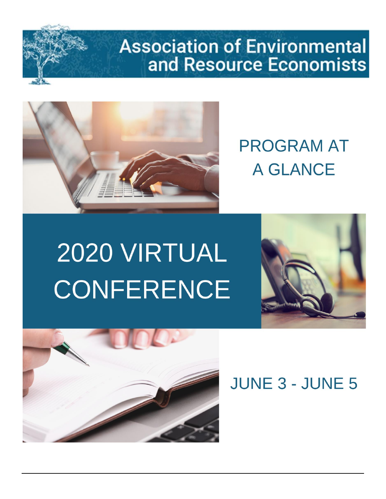# **Association of Environmental** and Resource Economists



# **PROGRAM AT A GLANCE**

# 2020 VIRTUAL **CONFERENCE**





**JUNE 3 - JUNE 5**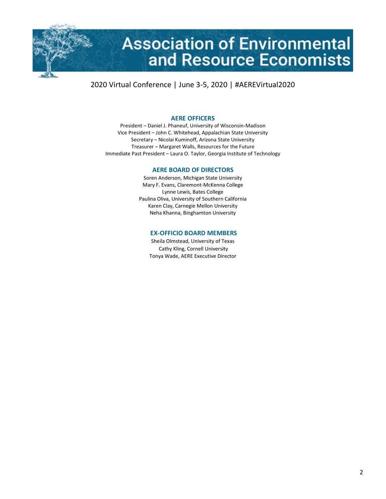

#### **AERE OFFICERS**

President – Daniel J. Phaneuf, University of Wisconsin-Madison Vice President – John C. Whitehead, Appalachian State University Secretary – Nicolai Kuminoff, Arizona State University Treasurer – Margaret Walls, Resources for the Future Immediate Past President – Laura O. Taylor, Georgia Institute of Technology

#### **AERE BOARD OF DIRECTORS**

Soren Anderson, Michigan State University Mary F. Evans, Claremont-McKenna College Lynne Lewis, Bates College Paulina Oliva, University of Southern California Karen Clay, Carnegie Mellon University Neha Khanna, Binghamton University

#### **EX-OFFICIO BOARD MEMBERS**

Sheila Olmstead, University of Texas Cathy Kling, Cornell University Tonya Wade, AERE Executive Director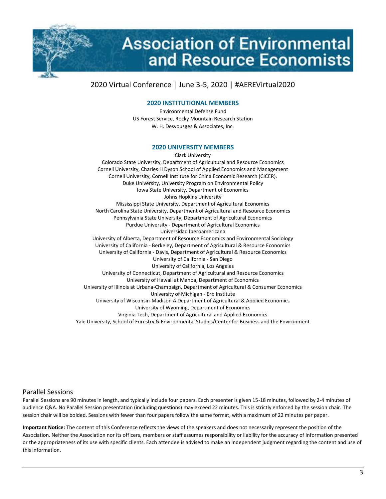

# **Association of Environmental** and Resource Economists

# 2020 Virtual Conference | June 3-5, 2020 | #AEREVirtual2020

#### **2020 INSTITUTIONAL MEMBERS**

Environmental Defense Fund US Forest Service, Rocky Mountain Research Station W. H. Desvousges & Associates, Inc.

#### **2020 UNIVERSITY MEMBERS**

Clark University Colorado State University, Department of Agricultural and Resource Economics Cornell University, Charles H Dyson School of Applied Economics and Management Cornell University, Cornell Institute for China Economic Research (CICER). Duke University, University Program on Environmental Policy Iowa State University, Department of Economics Johns Hopkins University Mississippi State University, Department of Agricultural Economics North Carolina State University, Department of Agricultural and Resource Economics Pennsylvania State University, Department of Agricultural Economics Purdue University - Department of Agricultural Economics Universidad Iberoamericana University of Alberta, Department of Resource Economics and Environmental Sociology University of California - Berkeley, Department of Agricultural & Resource Economics University of California - Davis, Department of Agricultural & Resource Economics University of California - San Diego University of California, Los Angeles University of Connecticut, Department of Agricultural and Resource Economics University of Hawaii at Manoa, Department of Economics University of Illinois at Urbana-Champaign, Department of Agricultural & Consumer Economics University of Michigan - Erb Institute University of Wisconsin-Madison Department of Agricultural & Applied Economics University of Wyoming, Department of Economics Virginia Tech, Department of Agricultural and Applied Economics Yale University, School of Forestry & Environmental Studies/Center for Business and the Environment

#### Parallel Sessions

Parallel Sessions are 90 minutes in length, and typically include four papers. Each presenter is given 15-18 minutes, followed by 2-4 minutes of audience Q&A. No Parallel Session presentation (including questions) may exceed 22 minutes. This is strictly enforced by the session chair. The session chair will be bolded. Sessions with fewer than four papers follow the same format, with a maximum of 22 minutes per paper.

**Important Notice:** The content of this Conference reflects the views of the speakers and does not necessarily represent the position of the Association. Neither the Association nor its officers, members or staff assumes responsibility or liability for the accuracy of information presented or the appropriateness of its use with specific clients. Each attendee is advised to make an independent judgment regarding the content and use of this information.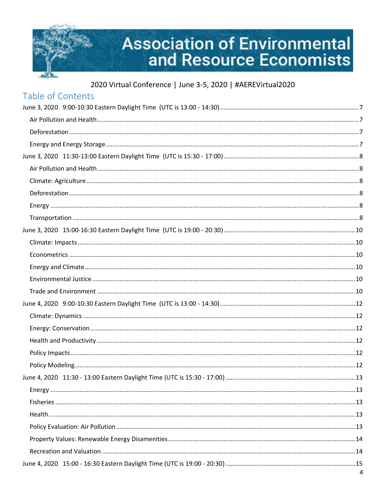

# **Association of Environmental<br>and Resource Economists**

| Table of Contents |  |
|-------------------|--|
|                   |  |
|                   |  |
|                   |  |
|                   |  |
|                   |  |
|                   |  |
|                   |  |
|                   |  |
|                   |  |
|                   |  |
|                   |  |
|                   |  |
|                   |  |
|                   |  |
|                   |  |
|                   |  |
|                   |  |
|                   |  |
|                   |  |
|                   |  |
|                   |  |
|                   |  |
|                   |  |
|                   |  |
|                   |  |
|                   |  |
|                   |  |
|                   |  |
|                   |  |
|                   |  |
|                   |  |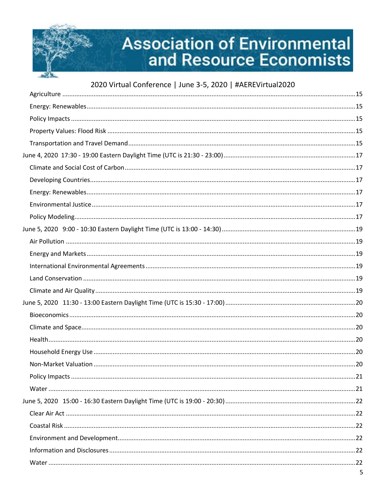

# **Association of Environmental** and Resource Economists

| 5 |
|---|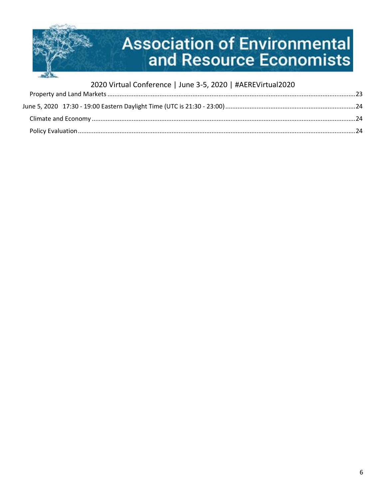

| 2020 Virtual Conference   June 3-5, 2020   #AEREVirtual2020 |  |
|-------------------------------------------------------------|--|
|                                                             |  |
|                                                             |  |
|                                                             |  |
|                                                             |  |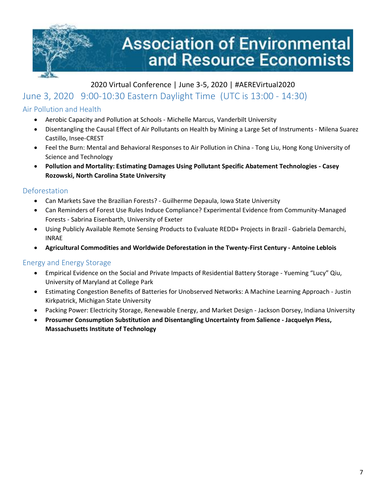

# <span id="page-6-0"></span>June 3, 2020 9:00-10:30 Eastern Daylight Time (UTC is 13:00 - 14:30)

# <span id="page-6-1"></span>Air Pollution and Health

- Aerobic Capacity and Pollution at Schools Michelle Marcus, Vanderbilt University
- Disentangling the Causal Effect of Air Pollutants on Health by Mining a Large Set of Instruments Milena Suarez Castillo, Insee-CREST
- Feel the Burn: Mental and Behavioral Responses to Air Pollution in China Tong Liu, Hong Kong University of Science and Technology
- **Pollution and Mortality: Estimating Damages Using Pollutant Specific Abatement Technologies - Casey Rozowski, North Carolina State University**

#### <span id="page-6-2"></span>Deforestation

- Can Markets Save the Brazilian Forests? Guilherme Depaula, Iowa State University
- Can Reminders of Forest Use Rules Induce Compliance? Experimental Evidence from Community-Managed Forests - Sabrina Eisenbarth, University of Exeter
- Using Publicly Available Remote Sensing Products to Evaluate REDD+ Projects in Brazil Gabriela Demarchi, INRAE
- **Agricultural Commodities and Worldwide Deforestation in the Twenty-First Century - Antoine Leblois**

#### <span id="page-6-3"></span>Energy and Energy Storage

- Empirical Evidence on the Social and Private Impacts of Residential Battery Storage Yueming "Lucy" Qiu, University of Maryland at College Park
- Estimating Congestion Benefits of Batteries for Unobserved Networks: A Machine Learning Approach Justin Kirkpatrick, Michigan State University
- Packing Power: Electricity Storage, Renewable Energy, and Market Design Jackson Dorsey, Indiana University
- **Prosumer Consumption Substitution and Disentangling Uncertainty from Salience - Jacquelyn Pless, Massachusetts Institute of Technology**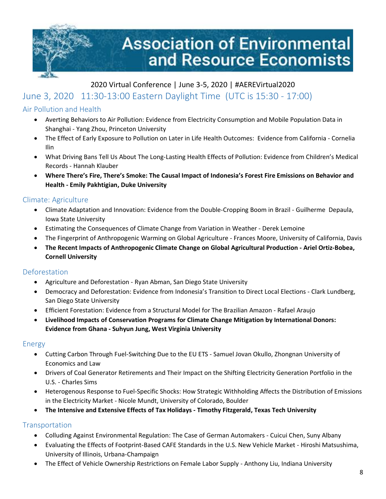

# <span id="page-7-0"></span>June 3, 2020 11:30-13:00 Eastern Daylight Time (UTC is 15:30 - 17:00)

# <span id="page-7-1"></span>Air Pollution and Health

- Averting Behaviors to Air Pollution: Evidence from Electricity Consumption and Mobile Population Data in Shanghai - Yang Zhou, Princeton University
- The Effect of Early Exposure to Pollution on Later in Life Health Outcomes: Evidence from California Cornelia Ilin
- What Driving Bans Tell Us About The Long-Lasting Health Effects of Pollution: Evidence from Children's Medical Records - Hannah Klauber
- **Where There's Fire, There's Smoke: The Causal Impact of Indonesia's Forest Fire Emissions on Behavior and Health - Emily Pakhtigian, Duke University**

#### <span id="page-7-2"></span>Climate: Agriculture

- Climate Adaptation and Innovation: Evidence from the Double-Cropping Boom in Brazil Guilherme Depaula, Iowa State University
- Estimating the Consequences of Climate Change from Variation in Weather Derek Lemoine
- The Fingerprint of Anthropogenic Warming on Global Agriculture Frances Moore, University of California, Davis
- **The Recent Impacts of Anthropogenic Climate Change on Global Agricultural Production - Ariel Ortiz-Bobea, Cornell University**

#### <span id="page-7-3"></span>Deforestation

- Agriculture and Deforestation Ryan Abman, San Diego State University
- Democracy and Deforestation: Evidence from Indonesia's Transition to Direct Local Elections Clark Lundberg, San Diego State University
- Efficient Forestation: Evidence from a Structural Model for The Brazilian Amazon Rafael Araujo
- **Livelihood Impacts of Conservation Programs for Climate Change Mitigation by International Donors: Evidence from Ghana - Suhyun Jung, West Virginia University**

#### <span id="page-7-4"></span>Energy

- Cutting Carbon Through Fuel-Switching Due to the EU ETS Samuel Jovan Okullo, Zhongnan University of Economics and Law
- Drivers of Coal Generator Retirements and Their Impact on the Shifting Electricity Generation Portfolio in the U.S. - Charles Sims
- Heterogenous Response to Fuel-Specific Shocks: How Strategic Withholding Affects the Distribution of Emissions in the Electricity Market - Nicole Mundt, University of Colorado, Boulder
- **The Intensive and Extensive Effects of Tax Holidays - Timothy Fitzgerald, Texas Tech University**

#### <span id="page-7-5"></span>**Transportation**

- Colluding Against Environmental Regulation: The Case of German Automakers Cuicui Chen, Suny Albany
- Evaluating the Effects of Footprint-Based CAFE Standards in the U.S. New Vehicle Market Hiroshi Matsushima, University of Illinois, Urbana-Champaign
- The Effect of Vehicle Ownership Restrictions on Female Labor Supply Anthony Liu, Indiana University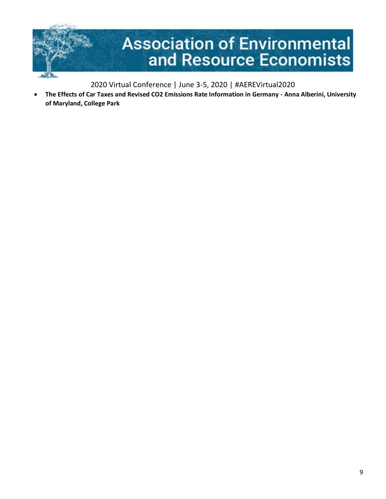

• **The Effects of Car Taxes and Revised CO2 Emissions Rate Information in Germany - Anna Alberini, University of Maryland, College Park**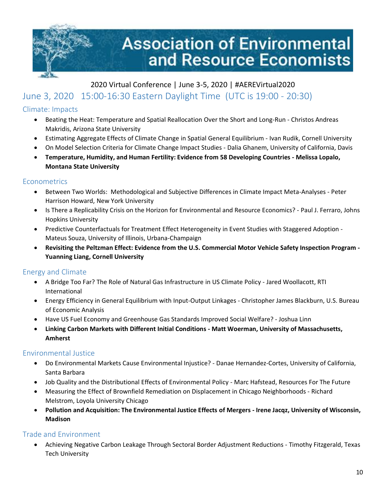

# <span id="page-9-0"></span>June 3, 2020 15:00-16:30 Eastern Daylight Time (UTC is 19:00 - 20:30)

# <span id="page-9-1"></span>Climate: Impacts

- Beating the Heat: Temperature and Spatial Reallocation Over the Short and Long-Run Christos Andreas Makridis, Arizona State University
- Estimating Aggregate Effects of Climate Change in Spatial General Equilibrium Ivan Rudik, Cornell University
- On Model Selection Criteria for Climate Change Impact Studies Dalia Ghanem, University of California, Davis
- **Temperature, Humidity, and Human Fertility: Evidence from 58 Developing Countries - Melissa Lopalo, Montana State University**

#### <span id="page-9-2"></span>**Econometrics**

- Between Two Worlds: Methodological and Subjective Differences in Climate Impact Meta-Analyses Peter Harrison Howard, New York University
- Is There a Replicability Crisis on the Horizon for Environmental and Resource Economics? Paul J. Ferraro, Johns Hopkins University
- Predictive Counterfactuals for Treatment Effect Heterogeneity in Event Studies with Staggered Adoption Mateus Souza, University of Illinois, Urbana-Champaign
- **Revisiting the Peltzman Effect: Evidence from the U.S. Commercial Motor Vehicle Safety Inspection Program - Yuanning Liang, Cornell University**

# <span id="page-9-3"></span>Energy and Climate

- A Bridge Too Far? The Role of Natural Gas Infrastructure in US Climate Policy Jared Woollacott, RTI International
- Energy Efficiency in General Equilibrium with Input-Output Linkages Christopher James Blackburn, U.S. Bureau of Economic Analysis
- Have US Fuel Economy and Greenhouse Gas Standards Improved Social Welfare? Joshua Linn
- **Linking Carbon Markets with Different Initial Conditions - Matt Woerman, University of Massachusetts, Amherst**

# <span id="page-9-4"></span>Environmental Justice

- Do Environmental Markets Cause Environmental Injustice? Danae Hernandez-Cortes, University of California, Santa Barbara
- Job Quality and the Distributional Effects of Environmental Policy Marc Hafstead, Resources For The Future
- Measuring the Effect of Brownfield Remediation on Displacement in Chicago Neighborhoods Richard Melstrom, Loyola University Chicago
- **Pollution and Acquisition: The Environmental Justice Effects of Mergers - Irene Jacqz, University of Wisconsin, Madison**

# <span id="page-9-5"></span>Trade and Environment

• Achieving Negative Carbon Leakage Through Sectoral Border Adjustment Reductions - Timothy Fitzgerald, Texas Tech University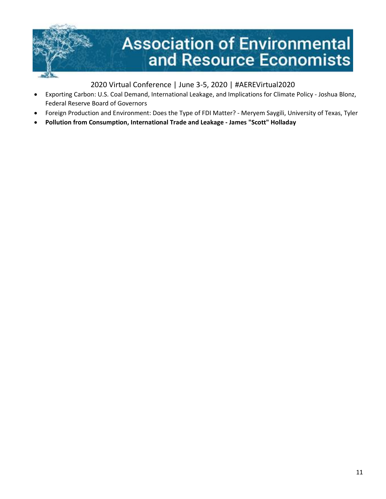

- Exporting Carbon: U.S. Coal Demand, International Leakage, and Implications for Climate Policy Joshua Blonz, Federal Reserve Board of Governors
- Foreign Production and Environment: Does the Type of FDI Matter? Meryem Saygili, University of Texas, Tyler
- **Pollution from Consumption, International Trade and Leakage - James "Scott" Holladay**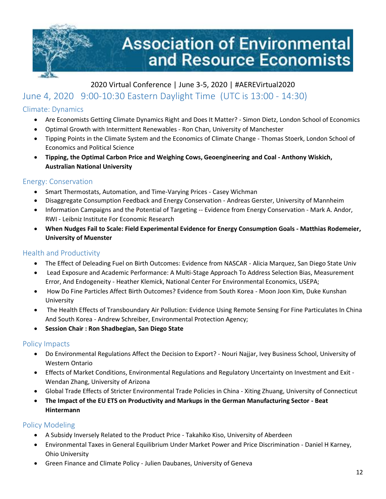

# <span id="page-11-0"></span>2020 Virtual Conference | June 3-5, 2020 | #AEREVirtual2020 June 4, 2020 9:00-10:30 Eastern Daylight Time (UTC is 13:00 - 14:30)

# <span id="page-11-1"></span>Climate: Dynamics

- Are Economists Getting Climate Dynamics Right and Does It Matter? Simon Dietz, London School of Economics
- Optimal Growth with Intermittent Renewables Ron Chan, University of Manchester
- Tipping Points in the Climate System and the Economics of Climate Change Thomas Stoerk, London School of Economics and Political Science
- **Tipping, the Optimal Carbon Price and Weighing Cows, Geoengineering and Coal - Anthony Wiskich, Australian National University**

# <span id="page-11-2"></span>Energy: Conservation

- Smart Thermostats, Automation, and Time-Varying Prices Casey Wichman
- Disaggregate Consumption Feedback and Energy Conservation Andreas Gerster, University of Mannheim
- Information Campaigns and the Potential of Targeting -- Evidence from Energy Conservation Mark A. Andor, RWI - Leibniz Institute For Economic Research
- **When Nudges Fail to Scale: Field Experimental Evidence for Energy Consumption Goals - Matthias Rodemeier, University of Muenster**

# <span id="page-11-3"></span>Health and Productivity

- The Effect of Deleading Fuel on Birth Outcomes: Evidence from NASCAR Alicia Marquez, San Diego State Univ
- Lead Exposure and Academic Performance: A Multi-Stage Approach To Address Selection Bias, Measurement Error, And Endogeneity - Heather Klemick, National Center For Environmental Economics, USEPA;
- How Do Fine Particles Affect Birth Outcomes? Evidence from South Korea Moon Joon Kim, Duke Kunshan University
- The Health Effects of Transboundary Air Pollution: Evidence Using Remote Sensing For Fine Particulates In China And South Korea - Andrew Schreiber, Environmental Protection Agency;
- **Session Chair : Ron Shadbegian, San Diego State**

# <span id="page-11-4"></span>Policy Impacts

- Do Environmental Regulations Affect the Decision to Export? Nouri Najjar, Ivey Business School, University of Western Ontario
- Effects of Market Conditions, Environmental Regulations and Regulatory Uncertainty on Investment and Exit Wendan Zhang, University of Arizona
- Global Trade Effects of Stricter Environmental Trade Policies in China Xiting Zhuang, University of Connecticut
- **The Impact of the EU ETS on Productivity and Markups in the German Manufacturing Sector - Beat Hintermann**

# <span id="page-11-5"></span>Policy Modeling

- A Subsidy Inversely Related to the Product Price Takahiko Kiso, University of Aberdeen
- Environmental Taxes in General Equilibrium Under Market Power and Price Discrimination Daniel H Karney, Ohio University
- Green Finance and Climate Policy Julien Daubanes, University of Geneva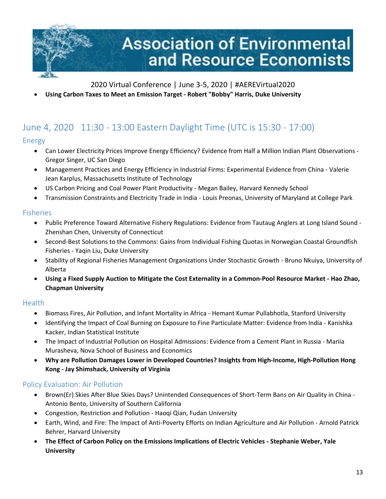

• **Using Carbon Taxes to Meet an Emission Target - Robert "Bobby" Harris, Duke University**

# <span id="page-12-0"></span>June 4, 2020 11:30 - 13:00 Eastern Daylight Time (UTC is 15:30 - 17:00)

# <span id="page-12-1"></span>Energy

- Can Lower Electricity Prices Improve Energy Efficiency? Evidence from Half a Million Indian Plant Observations Gregor Singer, UC San Diego
- Management Practices and Energy Efficiency in Industrial Firms: Experimental Evidence from China Valerie Jean Karplus, Massachusetts Institute of Technology
- US Carbon Pricing and Coal Power Plant Productivity Megan Bailey, Harvard Kennedy School
- Transmission Constraints and Electricity Trade in India Louis Preonas, University of Maryland at College Park

#### <span id="page-12-2"></span>Fisheries

- Public Preference Toward Alternative Fishery Regulations: Evidence from Tautaug Anglers at Long Island Sound Zhenshan Chen, University of Connecticut
- Second-Best Solutions to the Commons: Gains from Individual Fishing Quotas in Norwegian Coastal Groundfish Fisheries - Yaqin Liu, Duke University
- Stability of Regional Fisheries Management Organizations Under Stochastic Growth Bruno Nkuiya, University of Alberta
- **Using a Fixed Supply Auction to Mitigate the Cost Externality in a Common-Pool Resource Market - Hao Zhao, Chapman University**

#### <span id="page-12-3"></span>Health

- Biomass Fires, Air Pollution, and Infant Mortality in Africa Hemant Kumar Pullabhotla, Stanford University
- Identifying the Impact of Coal Burning on Exposure to Fine Particulate Matter: Evidence from India Kanishka Kacker, Indian Statistical Institute
- The Impact of Industrial Pollution on Hospital Admissions: Evidence from a Cement Plant in Russia Mariia Murasheva, Nova School of Business and Economics
- **Why are Pollution Damages Lower in Developed Countries? Insights from High-Income, High-Pollution Hong Kong - Jay Shimshack, University of Virginia**

# <span id="page-12-4"></span>Policy Evaluation: Air Pollution

- Brown(Er) Skies After Blue Skies Days? Unintended Consequences of Short-Term Bans on Air Quality in China Antonio Bento, University of Southern California
- Congestion, Restriction and Pollution Haoqi Qian, Fudan University
- Earth, Wind, and Fire: The Impact of Anti-Poverty Efforts on Indian Agriculture and Air Pollution Arnold Patrick Behrer, Harvard University
- **The Effect of Carbon Policy on the Emissions Implications of Electric Vehicles - Stephanie Weber, Yale University**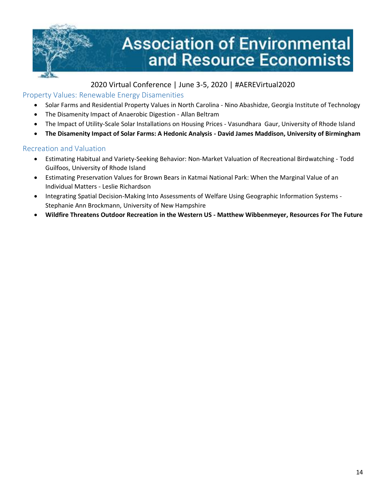

#### <span id="page-13-0"></span>Property Values: Renewable Energy Disamenities

- Solar Farms and Residential Property Values in North Carolina Nino Abashidze, Georgia Institute of Technology
- The Disamenity Impact of Anaerobic Digestion Allan Beltram
- The Impact of Utility-Scale Solar Installations on Housing Prices Vasundhara Gaur, University of Rhode Island
- **The Disamenity Impact of Solar Farms: A Hedonic Analysis - David James Maddison, University of Birmingham**

#### <span id="page-13-1"></span>Recreation and Valuation

- Estimating Habitual and Variety-Seeking Behavior: Non-Market Valuation of Recreational Birdwatching Todd Guilfoos, University of Rhode Island
- Estimating Preservation Values for Brown Bears in Katmai National Park: When the Marginal Value of an Individual Matters - Leslie Richardson
- Integrating Spatial Decision-Making Into Assessments of Welfare Using Geographic Information Systems Stephanie Ann Brockmann, University of New Hampshire
- **Wildfire Threatens Outdoor Recreation in the Western US - Matthew Wibbenmeyer, Resources For The Future**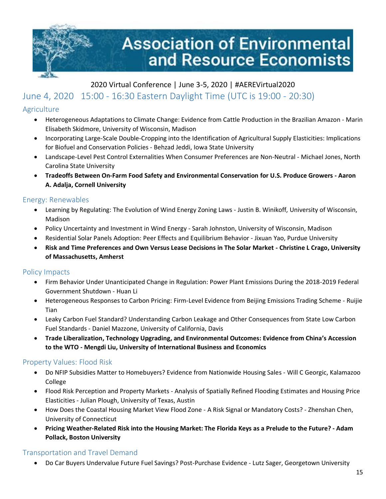

# <span id="page-14-0"></span>June 4, 2020 15:00 - 16:30 Eastern Daylight Time (UTC is 19:00 - 20:30)

# <span id="page-14-1"></span>**Agriculture**

- Heterogeneous Adaptations to Climate Change: Evidence from Cattle Production in the Brazilian Amazon Marin Elisabeth Skidmore, University of Wisconsin, Madison
- Incorporating Large-Scale Double-Cropping into the Identification of Agricultural Supply Elasticities: Implications for Biofuel and Conservation Policies - Behzad Jeddi, Iowa State University
- Landscape-Level Pest Control Externalities When Consumer Preferences are Non-Neutral Michael Jones, North Carolina State University
- **Tradeoffs Between On-Farm Food Safety and Environmental Conservation for U.S. Produce Growers - Aaron A. Adalja, Cornell University**

#### <span id="page-14-2"></span>Energy: Renewables

- Learning by Regulating: The Evolution of Wind Energy Zoning Laws Justin B. Winikoff, University of Wisconsin, Madison
- Policy Uncertainty and Investment in Wind Energy Sarah Johnston, University of Wisconsin, Madison
- Residential Solar Panels Adoption: Peer Effects and Equilibrium Behavior Jixuan Yao, Purdue University
- **Risk and Time Preferences and Own Versus Lease Decisions in The Solar Market - Christine L Crago, University of Massachusetts, Amherst**

# <span id="page-14-3"></span>Policy Impacts

- Firm Behavior Under Unanticipated Change in Regulation: Power Plant Emissions During the 2018-2019 Federal Government Shutdown - Huan Li
- Heterogeneous Responses to Carbon Pricing: Firm-Level Evidence from Beijing Emissions Trading Scheme Ruijie Tian
- Leaky Carbon Fuel Standard? Understanding Carbon Leakage and Other Consequences from State Low Carbon Fuel Standards - Daniel Mazzone, University of California, Davis
- **Trade Liberalization, Technology Upgrading, and Environmental Outcomes: Evidence from China's Accession to the WTO - Mengdi Liu, University of International Business and Economics**

# <span id="page-14-4"></span>Property Values: Flood Risk

- Do NFIP Subsidies Matter to Homebuyers? Evidence from Nationwide Housing Sales Will C Georgic, Kalamazoo College
- Flood Risk Perception and Property Markets Analysis of Spatially Refined Flooding Estimates and Housing Price Elasticities - Julian Plough, University of Texas, Austin
- How Does the Coastal Housing Market View Flood Zone A Risk Signal or Mandatory Costs? Zhenshan Chen, University of Connecticut
- **Pricing Weather-Related Risk into the Housing Market: The Florida Keys as a Prelude to the Future? - Adam Pollack, Boston University**

# <span id="page-14-5"></span>Transportation and Travel Demand

• Do Car Buyers Undervalue Future Fuel Savings? Post-Purchase Evidence - Lutz Sager, Georgetown University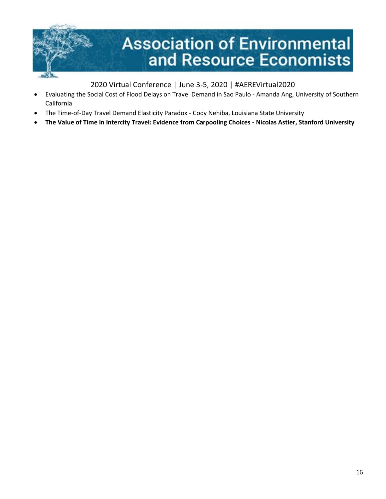

- Evaluating the Social Cost of Flood Delays on Travel Demand in Sao Paulo Amanda Ang, University of Southern California
- The Time-of-Day Travel Demand Elasticity Paradox Cody Nehiba, Louisiana State University
- <span id="page-15-0"></span>• **The Value of Time in Intercity Travel: Evidence from Carpooling Choices - Nicolas Astier, Stanford University**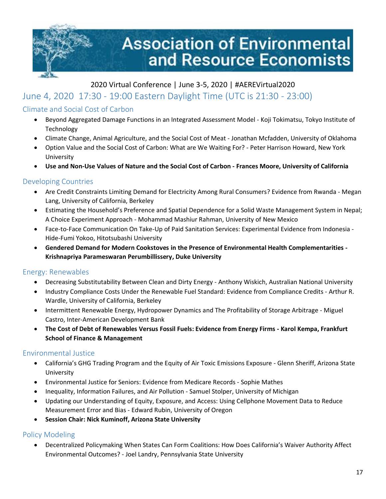

# June 4, 2020 17:30 - 19:00 Eastern Daylight Time (UTC is 21:30 - 23:00)

#### <span id="page-16-0"></span>Climate and Social Cost of Carbon

- Beyond Aggregated Damage Functions in an Integrated Assessment Model Koji Tokimatsu, Tokyo Institute of Technology
- Climate Change, Animal Agriculture, and the Social Cost of Meat Jonathan Mcfadden, University of Oklahoma
- Option Value and the Social Cost of Carbon: What are We Waiting For? Peter Harrison Howard, New York University
- **Use and Non-Use Values of Nature and the Social Cost of Carbon - Frances Moore, University of California**

#### <span id="page-16-1"></span>Developing Countries

- Are Credit Constraints Limiting Demand for Electricity Among Rural Consumers? Evidence from Rwanda Megan Lang, University of California, Berkeley
- Estimating the Household's Preference and Spatial Dependence for a Solid Waste Management System in Nepal; A Choice Experiment Approach - Mohammad Mashiur Rahman, University of New Mexico
- Face-to-Face Communication On Take-Up of Paid Sanitation Services: Experimental Evidence from Indonesia Hide-Fumi Yokoo, Hitotsubashi University
- **Gendered Demand for Modern Cookstoves in the Presence of Environmental Health Complementarities - Krishnapriya Parameswaran Perumbillissery, Duke University**

#### <span id="page-16-2"></span>Energy: Renewables

- Decreasing Substitutability Between Clean and Dirty Energy Anthony Wiskich, Australian National University
- Industry Compliance Costs Under the Renewable Fuel Standard: Evidence from Compliance Credits Arthur R. Wardle, University of California, Berkeley
- Intermittent Renewable Energy, Hydropower Dynamics and The Profitability of Storage Arbitrage Miguel Castro, Inter-American Development Bank
- **The Cost of Debt of Renewables Versus Fossil Fuels: Evidence from Energy Firms - Karol Kempa, Frankfurt School of Finance & Management**

#### <span id="page-16-3"></span>Environmental Justice

- California's GHG Trading Program and the Equity of Air Toxic Emissions Exposure Glenn Sheriff, Arizona State University
- Environmental Justice for Seniors: Evidence from Medicare Records Sophie Mathes
- Inequality, Information Failures, and Air Pollution Samuel Stolper, University of Michigan
- Updating our Understanding of Equity, Exposure, and Access: Using Cellphone Movement Data to Reduce Measurement Error and Bias - Edward Rubin, University of Oregon
- **Session Chair: Nick Kuminoff, Arizona State University**

#### <span id="page-16-4"></span>Policy Modeling

• Decentralized Policymaking When States Can Form Coalitions: How Does California's Waiver Authority Affect Environmental Outcomes? - Joel Landry, Pennsylvania State University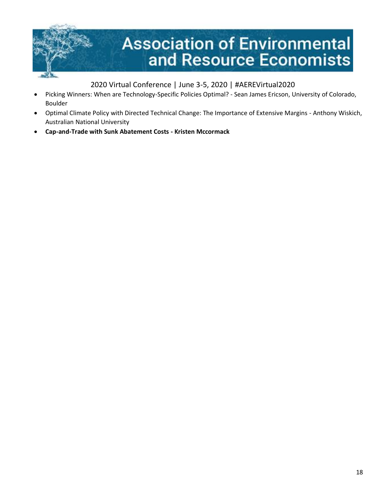

- Picking Winners: When are Technology-Specific Policies Optimal? Sean James Ericson, University of Colorado, Boulder
- Optimal Climate Policy with Directed Technical Change: The Importance of Extensive Margins Anthony Wiskich, Australian National University
- **Cap-and-Trade with Sunk Abatement Costs - Kristen Mccormack**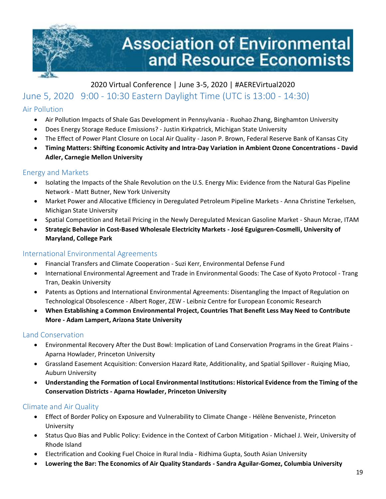

# <span id="page-18-0"></span>2020 Virtual Conference | June 3-5, 2020 | #AEREVirtual2020 June 5, 2020 9:00 - 10:30 Eastern Daylight Time (UTC is 13:00 - 14:30)

# <span id="page-18-1"></span>Air Pollution

- Air Pollution Impacts of Shale Gas Development in Pennsylvania Ruohao Zhang, Binghamton University
- Does Energy Storage Reduce Emissions? Justin Kirkpatrick, Michigan State University
- The Effect of Power Plant Closure on Local Air Quality Jason P. Brown, Federal Reserve Bank of Kansas City
- **Timing Matters: Shifting Economic Activity and Intra-Day Variation in Ambient Ozone Concentrations - David Adler, Carnegie Mellon University**

#### <span id="page-18-2"></span>Energy and Markets

- Isolating the Impacts of the Shale Revolution on the U.S. Energy Mix: Evidence from the Natural Gas Pipeline Network - Matt Butner, New York University
- Market Power and Allocative Efficiency in Deregulated Petroleum Pipeline Markets Anna Christine Terkelsen, Michigan State University
- Spatial Competition and Retail Pricing in the Newly Deregulated Mexican Gasoline Market Shaun Mcrae, ITAM
- **Strategic Behavior in Cost-Based Wholesale Electricity Markets - José Eguiguren-Cosmelli, University of Maryland, College Park**

#### <span id="page-18-3"></span>International Environmental Agreements

- Financial Transfers and Climate Cooperation Suzi Kerr, Environmental Defense Fund
- International Environmental Agreement and Trade in Environmental Goods: The Case of Kyoto Protocol Trang Tran, Deakin University
- Patents as Options and International Environmental Agreements: Disentangling the Impact of Regulation on Technological Obsolescence - Albert Roger, ZEW - Leibniz Centre for European Economic Research
- **When Establishing a Common Environmental Project, Countries That Benefit Less May Need to Contribute More - Adam Lampert, Arizona State University**

#### <span id="page-18-4"></span>Land Conservation

- Environmental Recovery After the Dust Bowl: Implication of Land Conservation Programs in the Great Plains Aparna Howlader, Princeton University
- Grassland Easement Acquisition: Conversion Hazard Rate, Additionality, and Spatial Spillover Ruiqing Miao, Auburn University
- **Understanding the Formation of Local Environmental Institutions: Historical Evidence from the Timing of the Conservation Districts - Aparna Howlader, Princeton University**

#### <span id="page-18-5"></span>Climate and Air Quality

- Effect of Border Policy on Exposure and Vulnerability to Climate Change Hélène Benveniste, Princeton University
- Status Quo Bias and Public Policy: Evidence in the Context of Carbon Mitigation Michael J. Weir, University of Rhode Island
- Electrification and Cooking Fuel Choice in Rural India Ridhima Gupta, South Asian University
- **Lowering the Bar: The Economics of Air Quality Standards - Sandra Aguilar-Gomez, Columbia University**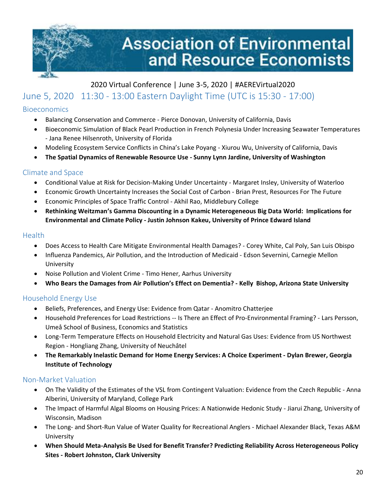

# <span id="page-19-0"></span>2020 Virtual Conference | June 3-5, 2020 | #AEREVirtual2020 June 5, 2020 11:30 - 13:00 Eastern Daylight Time (UTC is 15:30 - 17:00)

# <span id="page-19-1"></span>Bioeconomics

- Balancing Conservation and Commerce Pierce Donovan, University of California, Davis
- Bioeconomic Simulation of Black Pearl Production in French Polynesia Under Increasing Seawater Temperatures - Jana Renee Hilsenroth, University of Florida
- Modeling Ecosystem Service Conflicts in China's Lake Poyang Xiurou Wu, University of California, Davis
- **The Spatial Dynamics of Renewable Resource Use - Sunny Lynn Jardine, University of Washington**

#### <span id="page-19-2"></span>Climate and Space

- Conditional Value at Risk for Decision-Making Under Uncertainty Margaret Insley, University of Waterloo
- Economic Growth Uncertainty Increases the Social Cost of Carbon Brian Prest, Resources For The Future
- Economic Principles of Space Traffic Control Akhil Rao, Middlebury College
- **Rethinking Weitzman's Gamma Discounting in a Dynamic Heterogeneous Big Data World: Implications for Environmental and Climate Policy - Justin Johnson Kakeu, University of Prince Edward Island**

#### <span id="page-19-3"></span>**Health**

- Does Access to Health Care Mitigate Environmental Health Damages? Corey White, Cal Poly, San Luis Obispo
- Influenza Pandemics, Air Pollution, and the Introduction of Medicaid Edson Severnini, Carnegie Mellon University
- Noise Pollution and Violent Crime Timo Hener, Aarhus University
- **Who Bears the Damages from Air Pollution's Effect on Dementia? - Kelly Bishop, Arizona State University**

# <span id="page-19-4"></span>Household Energy Use

- Beliefs, Preferences, and Energy Use: Evidence from Qatar Anomitro Chatterjee
- Household Preferences for Load Restrictions -- Is There an Effect of Pro-Environmental Framing? Lars Persson, Umeå School of Business, Economics and Statistics
- Long-Term Temperature Effects on Household Electricity and Natural Gas Uses: Evidence from US Northwest Region - Hongliang Zhang, University of Neuchâtel
- **The Remarkably Inelastic Demand for Home Energy Services: A Choice Experiment - Dylan Brewer, Georgia Institute of Technology**

#### <span id="page-19-5"></span>Non-Market Valuation

- On The Validity of the Estimates of the VSL from Contingent Valuation: Evidence from the Czech Republic Anna Alberini, University of Maryland, College Park
- The Impact of Harmful Algal Blooms on Housing Prices: A Nationwide Hedonic Study Jiarui Zhang, University of Wisconsin, Madison
- The Long- and Short-Run Value of Water Quality for Recreational Anglers Michael Alexander Black, Texas A&M University
- **When Should Meta-Analysis Be Used for Benefit Transfer? Predicting Reliability Across Heterogeneous Policy Sites - Robert Johnston, Clark University**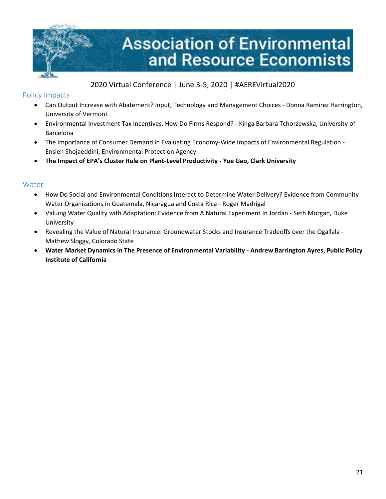

#### <span id="page-20-0"></span>Policy Impacts

- Can Output Increase with Abatement? Input, Technology and Management Choices Donna Ramirez Harrington, University of Vermont
- Environmental Investment Tax Incentives. How Do Firms Respond? Kinga Barbara Tchorzewska, University of Barcelona
- The Importance of Consumer Demand in Evaluating Economy-Wide Impacts of Environmental Regulation Ensieh Shojaeddini, Environmental Protection Agency
- **The Impact of EPA's Cluster Rule on Plant-Level Productivity - Yue Gao, Clark University**

#### <span id="page-20-1"></span>Water

- How Do Social and Environmental Conditions Interact to Determine Water Delivery? Evidence from Community Water Organizations in Guatemala, Nicaragua and Costa Rica - Roger Madrigal
- Valuing Water Quality with Adaptation: Evidence from A Natural Experiment In Jordan Seth Morgan, Duke University
- Revealing the Value of Natural Insurance: Groundwater Stocks and Insurance Tradeoffs over the Ogallala Mathew Sloggy, Colorado State
- **Water Market Dynamics in The Presence of Environmental Variability - Andrew Barrington Ayres, Public Policy Institute of California**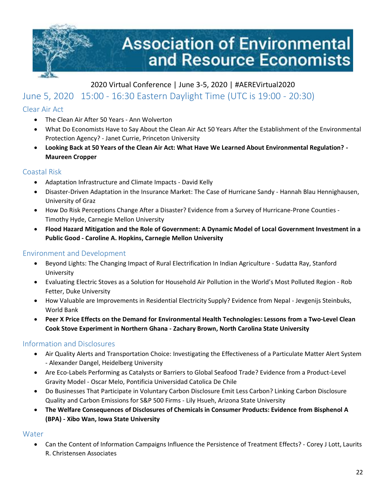

# <span id="page-21-0"></span>June 5, 2020 15:00 - 16:30 Eastern Daylight Time (UTC is 19:00 - 20:30)

#### <span id="page-21-1"></span>Clear Air Act

- The Clean Air After 50 Years Ann Wolverton
- What Do Economists Have to Say About the Clean Air Act 50 Years After the Establishment of the Environmental Protection Agency? - Janet Currie, Princeton University
- **Looking Back at 50 Years of the Clean Air Act: What Have We Learned About Environmental Regulation? - Maureen Cropper**

#### <span id="page-21-2"></span>Coastal Risk

- Adaptation Infrastructure and Climate Impacts David Kelly
- Disaster-Driven Adaptation in the Insurance Market: The Case of Hurricane Sandy Hannah Blau Hennighausen, University of Graz
- How Do Risk Perceptions Change After a Disaster? Evidence from a Survey of Hurricane-Prone Counties Timothy Hyde, Carnegie Mellon University
- **Flood Hazard Mitigation and the Role of Government: A Dynamic Model of Local Government Investment in a Public Good - Caroline A. Hopkins, Carnegie Mellon University**

#### <span id="page-21-3"></span>Environment and Development

- Beyond Lights: The Changing Impact of Rural Electrification In Indian Agriculture Sudatta Ray, Stanford University
- Evaluating Electric Stoves as a Solution for Household Air Pollution in the World's Most Polluted Region Rob Fetter, Duke University
- How Valuable are Improvements in Residential Electricity Supply? Evidence from Nepal Jevgenijs Steinbuks, World Bank
- **Peer X Price Effects on the Demand for Environmental Health Technologies: Lessons from a Two-Level Clean Cook Stove Experiment in Northern Ghana - Zachary Brown, North Carolina State University**

#### <span id="page-21-4"></span>Information and Disclosures

- Air Quality Alerts and Transportation Choice: Investigating the Effectiveness of a Particulate Matter Alert System - Alexander Dangel, Heidelberg University
- Are Eco-Labels Performing as Catalysts or Barriers to Global Seafood Trade? Evidence from a Product-Level Gravity Model - Oscar Melo, Pontificia Universidad Catolica De Chile
- Do Businesses That Participate in Voluntary Carbon Disclosure Emit Less Carbon? Linking Carbon Disclosure Quality and Carbon Emissions for S&P 500 Firms - Lily Hsueh, Arizona State University
- **The Welfare Consequences of Disclosures of Chemicals in Consumer Products: Evidence from Bisphenol A (BPA) - Xibo Wan, Iowa State University**

#### <span id="page-21-5"></span>**Water**

• Can the Content of Information Campaigns Influence the Persistence of Treatment Effects? - Corey J Lott, Laurits R. Christensen Associates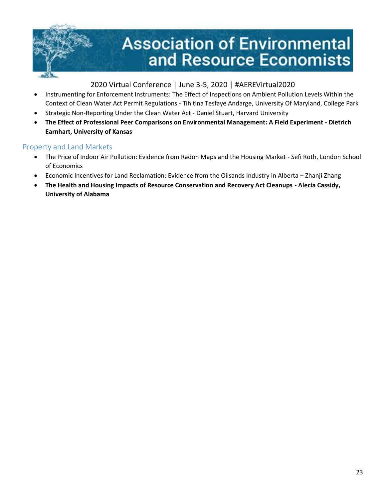

- Instrumenting for Enforcement Instruments: The Effect of Inspections on Ambient Pollution Levels Within the Context of Clean Water Act Permit Regulations - Tihitina Tesfaye Andarge, University Of Maryland, College Park
- Strategic Non-Reporting Under the Clean Water Act Daniel Stuart, Harvard University
- **The Effect of Professional Peer Comparisons on Environmental Management: A Field Experiment - Dietrich Earnhart, University of Kansas**

#### <span id="page-22-0"></span>Property and Land Markets

- The Price of Indoor Air Pollution: Evidence from Radon Maps and the Housing Market Sefi Roth, London School of Economics
- Economic Incentives for Land Reclamation: Evidence from the Oilsands Industry in Alberta Zhanji Zhang
- <span id="page-22-1"></span>• **The Health and Housing Impacts of Resource Conservation and Recovery Act Cleanups - Alecia Cassidy, University of Alabama**